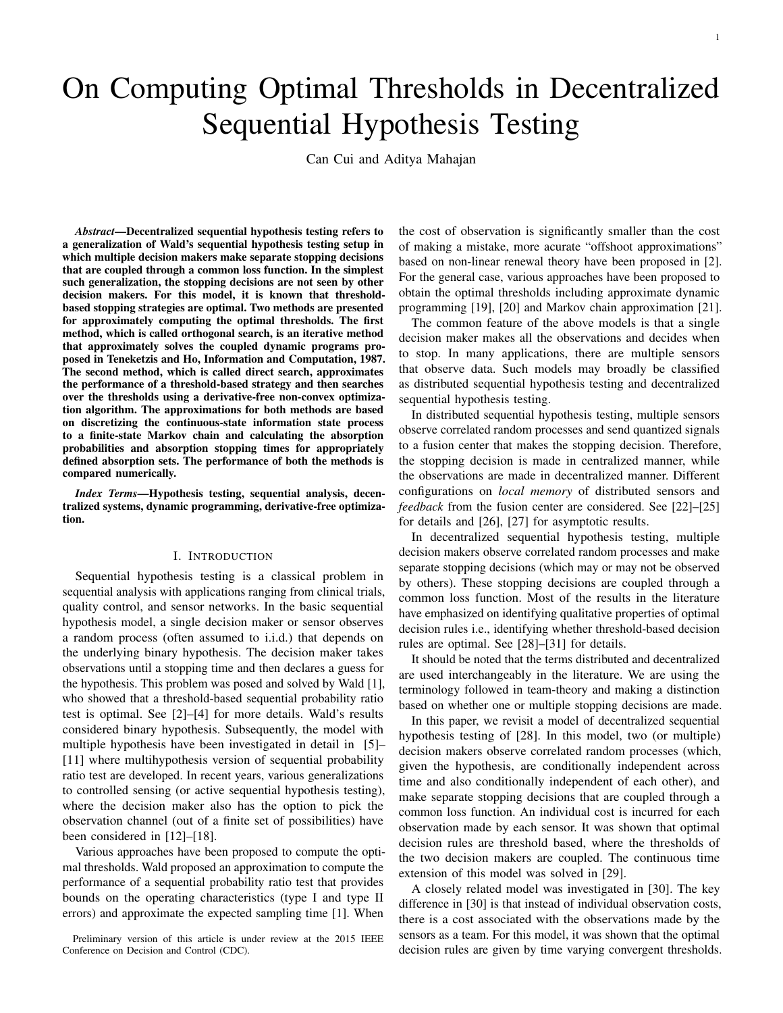# On Computing Optimal Thresholds in Decentralized Sequential Hypothesis Testing

Can Cui and Aditya Mahajan

*Abstract*—Decentralized sequential hypothesis testing refers to a generalization of Wald's sequential hypothesis testing setup in which multiple decision makers make separate stopping decisions that are coupled through a common loss function. In the simplest such generalization, the stopping decisions are not seen by other decision makers. For this model, it is known that thresholdbased stopping strategies are optimal. Two methods are presented for approximately computing the optimal thresholds. The first method, which is called orthogonal search, is an iterative method that approximately solves the coupled dynamic programs proposed in Teneketzis and Ho, Information and Computation, 1987. The second method, which is called direct search, approximates the performance of a threshold-based strategy and then searches over the thresholds using a derivative-free non-convex optimization algorithm. The approximations for both methods are based on discretizing the continuous-state information state process to a finite-state Markov chain and calculating the absorption probabilities and absorption stopping times for appropriately defined absorption sets. The performance of both the methods is compared numerically.

*Index Terms*—Hypothesis testing, sequential analysis, decentralized systems, dynamic programming, derivative-free optimization.

# I. INTRODUCTION

Sequential hypothesis testing is a classical problem in sequential analysis with applications ranging from clinical trials, quality control, and sensor networks. In the basic sequential hypothesis model, a single decision maker or sensor observes a random process (often assumed to i.i.d.) that depends on the underlying binary hypothesis. The decision maker takes observations until a stopping time and then declares a guess for the hypothesis. This problem was posed and solved by Wald [1], who showed that a threshold-based sequential probability ratio test is optimal. See [2]–[4] for more details. Wald's results considered binary hypothesis. Subsequently, the model with multiple hypothesis have been investigated in detail in [5]– [11] where multihypothesis version of sequential probability ratio test are developed. In recent years, various generalizations to controlled sensing (or active sequential hypothesis testing), where the decision maker also has the option to pick the observation channel (out of a finite set of possibilities) have been considered in [12]–[18].

Various approaches have been proposed to compute the optimal thresholds. Wald proposed an approximation to compute the performance of a sequential probability ratio test that provides bounds on the operating characteristics (type I and type II errors) and approximate the expected sampling time [1]. When

Preliminary version of this article is under review at the 2015 IEEE Conference on Decision and Control (CDC).

the cost of observation is significantly smaller than the cost of making a mistake, more acurate "offshoot approximations" based on non-linear renewal theory have been proposed in [2]. For the general case, various approaches have been proposed to obtain the optimal thresholds including approximate dynamic programming [19], [20] and Markov chain approximation [21].

The common feature of the above models is that a single decision maker makes all the observations and decides when to stop. In many applications, there are multiple sensors that observe data. Such models may broadly be classified as distributed sequential hypothesis testing and decentralized sequential hypothesis testing.

In distributed sequential hypothesis testing, multiple sensors observe correlated random processes and send quantized signals to a fusion center that makes the stopping decision. Therefore, the stopping decision is made in centralized manner, while the observations are made in decentralized manner. Different configurations on *local memory* of distributed sensors and *feedback* from the fusion center are considered. See [22]–[25] for details and [26], [27] for asymptotic results.

In decentralized sequential hypothesis testing, multiple decision makers observe correlated random processes and make separate stopping decisions (which may or may not be observed by others). These stopping decisions are coupled through a common loss function. Most of the results in the literature have emphasized on identifying qualitative properties of optimal decision rules i.e., identifying whether threshold-based decision rules are optimal. See [28]–[31] for details.

It should be noted that the terms distributed and decentralized are used interchangeably in the literature. We are using the terminology followed in team-theory and making a distinction based on whether one or multiple stopping decisions are made.

In this paper, we revisit a model of decentralized sequential hypothesis testing of [28]. In this model, two (or multiple) decision makers observe correlated random processes (which, given the hypothesis, are conditionally independent across time and also conditionally independent of each other), and make separate stopping decisions that are coupled through a common loss function. An individual cost is incurred for each observation made by each sensor. It was shown that optimal decision rules are threshold based, where the thresholds of the two decision makers are coupled. The continuous time extension of this model was solved in [29].

A closely related model was investigated in [30]. The key difference in [30] is that instead of individual observation costs, there is a cost associated with the observations made by the sensors as a team. For this model, it was shown that the optimal decision rules are given by time varying convergent thresholds.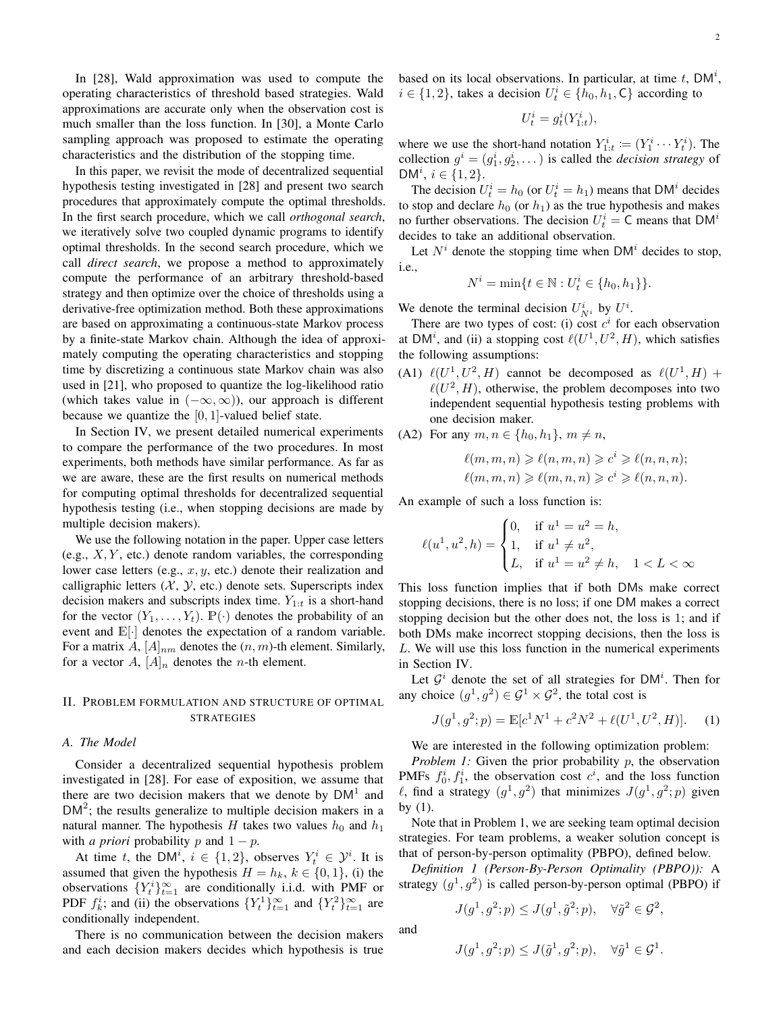In [28], Wald approximation was used to compute the operating characteristics of threshold based strategies. Wald approximations are accurate only when the observation cost is much smaller than the loss function. In [30], a Monte Carlo sampling approach was proposed to estimate the operating characteristics and the distribution of the stopping time.

In this paper, we revisit the mode of decentralized sequential hypothesis testing investigated in [28] and present two search procedures that approximately compute the optimal thresholds. In the first search procedure, which we call *orthogonal search*, we iteratively solve two coupled dynamic programs to identify optimal thresholds. In the second search procedure, which we call *direct search*, we propose a method to approximately compute the performance of an arbitrary threshold-based strategy and then optimize over the choice of thresholds using a derivative-free optimization method. Both these approximations are based on approximating a continuous-state Markov process by a finite-state Markov chain. Although the idea of approximately computing the operating characteristics and stopping time by discretizing a continuous state Markov chain was also used in [21], who proposed to quantize the log-likelihood ratio (which takes value in  $(-\infty, \infty)$ ), our approach is different because we quantize the  $[0, 1]$ -valued belief state.

In Section IV, we present detailed numerical experiments to compare the performance of the two procedures. In most experiments, both methods have similar performance. As far as we are aware, these are the first results on numerical methods for computing optimal thresholds for decentralized sequential hypothesis testing (i.e., when stopping decisions are made by multiple decision makers).

We use the following notation in the paper. Upper case letters (e.g.,  $X, Y$ , etc.) denote random variables, the corresponding lower case letters (e.g.,  $x, y$ , etc.) denote their realization and calligraphic letters  $(X, Y, etc.)$  denote sets. Superscripts index decision makers and subscripts index time.  $Y_{1:t}$  is a short-hand for the vector  $(Y_1, \ldots, Y_t)$ .  $\mathbb{P}(\cdot)$  denotes the probability of an event and  $\mathbb{E}[\cdot]$  denotes the expectation of a random variable. For a matrix A,  $[A]_{nm}$  denotes the  $(n, m)$ -th element. Similarly, for a vector A,  $[A]_n$  denotes the *n*-th element.

# II. PROBLEM FORMULATION AND STRUCTURE OF OPTIMAL STRATEGIES

# *A. The Model*

Consider a decentralized sequential hypothesis problem investigated in [28]. For ease of exposition, we assume that there are two decision makers that we denote by  $DM<sup>1</sup>$  and  $DM<sup>2</sup>$ ; the results generalize to multiple decision makers in a natural manner. The hypothesis H takes two values  $h_0$  and  $h_1$ with *a priori* probability p and  $1 - p$ .

At time t, the DM<sup>i</sup>,  $i \in \{1, 2\}$ , observes  $Y_t^i \in \mathcal{Y}^i$ . It is assumed that given the hypothesis  $H = h_k$ ,  $k \in \{0, 1\}$ , (i) the observations  ${Y_t^i}_{t=1}^\infty$  are conditionally i.i.d. with PMF or PDF  $f_k^i$ ; and (ii) the observations  $\{Y_t^1\}_{t=1}^\infty$  and  $\{Y_t^2\}_{t=1}^\infty$  are conditionally independent.

There is no communication between the decision makers and each decision makers decides which hypothesis is true based on its local observations. In particular, at time  $t$ , DM<sup>i</sup>,  $i \in \{1, 2\}$ , takes a decision  $U_t^i \in \{h_0, h_1, C\}$  according to

$$
U_t^i = g_t^i(Y_{1:t}^i),
$$

where we use the short-hand notation  $Y_{1:t}^i := (Y_1^i \cdots Y_t^i)$ . The collection  $g^i = (g_1^i, g_2^i, \dots)$  is called the *decision strategy* of  $DM^{i}, i \in \{1, 2\}.$ 

The decision  $U_t^i = h_0$  (or  $U_t^i = h_1$ ) means that DM<sup>*i*</sup> decides to stop and declare  $h_0$  (or  $h_1$ ) as the true hypothesis and makes no further observations. The decision  $U_t^i = \mathsf{C}$  means that  $\mathsf{DM}^i$ decides to take an additional observation.

Let  $N^i$  denote the stopping time when DM<sup>i</sup> decides to stop, i.e.,

$$
N^{i} = \min\{t \in \mathbb{N} : U_t^{i} \in \{h_0, h_1\}\}.
$$

We denote the terminal decision  $U_{N^i}^i$  by  $U^i$ .

There are two types of cost: (i) cost  $c^i$  for each observation at DM<sup>i</sup>, and (ii) a stopping cost  $\ell(U^1, U^2, H)$ , which satisfies the following assumptions:

(A1)  $\ell(U^1, U^2, H)$  cannot be decomposed as  $\ell(U^1, H)$  +  $\ell(U^2, H)$ , otherwise, the problem decomposes into two independent sequential hypothesis testing problems with one decision maker.

(A2) For any 
$$
m, n \in \{h_0, h_1\}, m \neq n
$$
,

$$
\ell(m, m, n) \geqslant \ell(n, m, n) \geqslant c^i \geqslant \ell(n, n, n);
$$
  

$$
\ell(m, m, n) \geqslant \ell(m, n, n) \geqslant c^i \geqslant \ell(n, n, n).
$$

An example of such a loss function is:

$$
\ell(u^1, u^2, h) = \begin{cases} 0, & \text{if } u^1 = u^2 = h, \\ 1, & \text{if } u^1 \neq u^2, \\ L, & \text{if } u^1 = u^2 \neq h, \quad 1 < L < \infty \end{cases}
$$

This loss function implies that if both DMs make correct stopping decisions, there is no loss; if one DM makes a correct stopping decision but the other does not, the loss is 1; and if both DMs make incorrect stopping decisions, then the loss is L. We will use this loss function in the numerical experiments in Section IV.

Let  $\mathcal{G}^i$  denote the set of all strategies for DM<sup>i</sup>. Then for any choice  $(g^1, g^2) \in \mathcal{G}^1 \times \mathcal{G}^2$ , the total cost is

$$
J(g1, g2; p) = \mathbb{E}[c1N1 + c2N2 + \ell(U1, U2, H)].
$$
 (1)

We are interested in the following optimization problem:

*Problem 1:* Given the prior probability p, the observation PMFs  $f_0^i, f_1^i$ , the observation cost  $c^i$ , and the loss function  $\ell$ , find a strategy  $(g^1, g^2)$  that minimizes  $J(g^1, g^2; p)$  given by (1).

Note that in Problem 1, we are seeking team optimal decision strategies. For team problems, a weaker solution concept is that of person-by-person optimality (PBPO), defined below.

*Definition 1 (Person-By-Person Optimality (PBPO)):* A strategy  $(g<sup>1</sup>, g<sup>2</sup>)$  is called person-by-person optimal (PBPO) if

$$
J(g^1, g^2; p) \le J(g^1, \tilde{g}^2; p), \quad \forall \tilde{g}^2 \in \mathcal{G}^2,
$$

and

$$
J(g^1, g^2; p) \le J(\tilde{g}^1, g^2; p), \quad \forall \tilde{g}^1 \in \mathcal{G}^1.
$$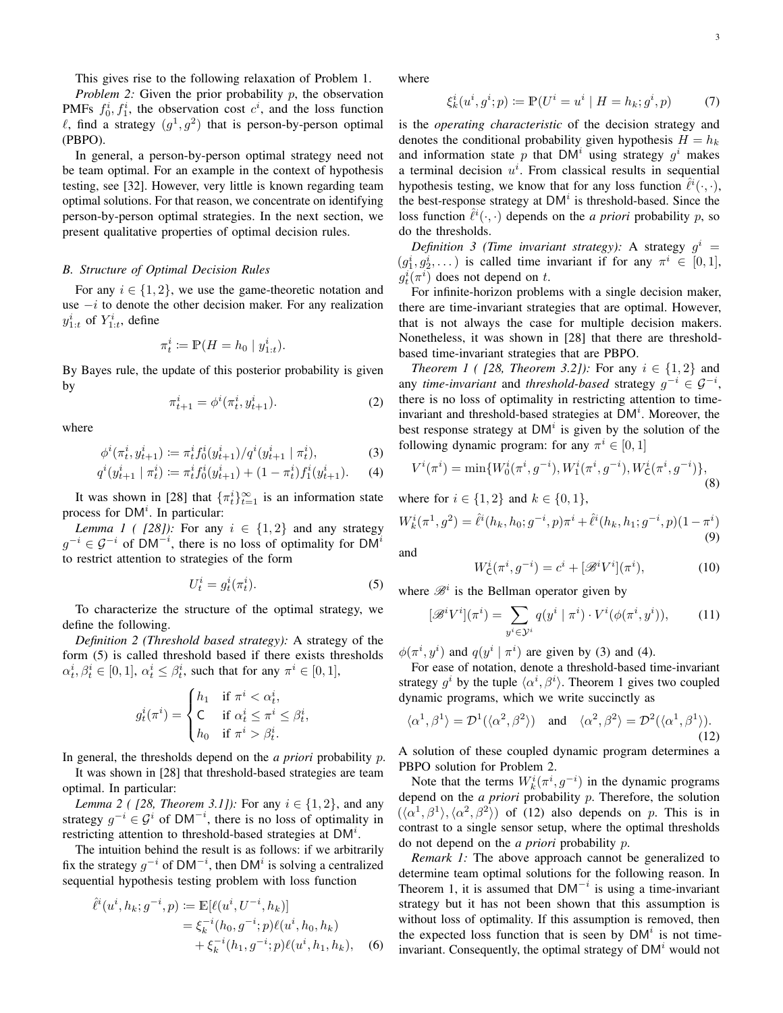This gives rise to the following relaxation of Problem 1.

*Problem 2:* Given the prior probability p, the observation PMFs  $f_0^i, f_1^i$ , the observation cost  $c^i$ , and the loss function  $\ell$ , find a strategy  $(g^1, g^2)$  that is person-by-person optimal (PBPO).

In general, a person-by-person optimal strategy need not be team optimal. For an example in the context of hypothesis testing, see [32]. However, very little is known regarding team optimal solutions. For that reason, we concentrate on identifying person-by-person optimal strategies. In the next section, we present qualitative properties of optimal decision rules.

#### *B. Structure of Optimal Decision Rules*

For any  $i \in \{1, 2\}$ , we use the game-theoretic notation and use  $-i$  to denote the other decision maker. For any realization  $y_{1:t}^i$  of  $Y_{1:t}^i$ , define

$$
\pi_t^i \coloneqq \mathbb{P}(H = h_0 \mid y_{1:t}^i).
$$

By Bayes rule, the update of this posterior probability is given by

$$
\pi_{t+1}^i = \phi^i(\pi_t^i, y_{t+1}^i). \tag{2}
$$

where

$$
\phi^i(\pi_t^i, y_{t+1}^i) := \pi_t^i f_0^i(y_{t+1}^i) / q^i(y_{t+1}^i \mid \pi_t^i), \tag{3}
$$

$$
q^{i}(y_{t+1}^{i} \mid \pi_{t}^{i}) \coloneqq \pi_{t}^{i} f_{0}^{i}(y_{t+1}^{i}) + (1 - \pi_{t}^{i}) f_{1}^{i}(y_{t+1}^{i}). \tag{4}
$$

It was shown in [28] that  $\{\pi_t^i\}_{t=1}^\infty$  is an information state process for  $DM<sup>i</sup>$ . In particular:

*Lemma 1 ( [28]):* For any  $i \in \{1, 2\}$  and any strategy  $g^{-i} \in \mathcal{G}^{-i}$  of DM<sup>-i</sup>, there is no loss of optimality for DM<sup>i</sup> to restrict attention to strategies of the form

$$
U_t^i = g_t^i(\pi_t^i). \tag{5}
$$

,

To characterize the structure of the optimal strategy, we define the following.

*Definition 2 (Threshold based strategy):* A strategy of the form (5) is called threshold based if there exists thresholds  $\alpha_t^i, \beta_t^i \in [0, 1], \alpha_t^i \leq \beta_t^i$ , such that for any  $\pi^i \in [0, 1],$ 

$$
g_t^i(\pi^i) = \begin{cases} h_1 & \text{if } \pi^i < \alpha_t^i, \\ \mathsf{C} & \text{if } \alpha_t^i \le \pi^i \le \beta_t^i \\ h_0 & \text{if } \pi^i > \beta_t^i. \end{cases}
$$

In general, the thresholds depend on the *a priori* probability p.

It was shown in [28] that threshold-based strategies are team optimal. In particular:

*Lemma 2 ( [28, Theorem 3.1]):* For any  $i \in \{1, 2\}$ , and any strategy  $g^{-i} \in \mathcal{G}^i$  of DM<sup>-i</sup>, there is no loss of optimality in restricting attention to threshold-based strategies at  $DM<sup>i</sup>$ .

The intuition behind the result is as follows: if we arbitrarily fix the strategy  $g^{-i}$  of DM<sup>-*i*</sup>, then DM<sup>*i*</sup> is solving a centralized sequential hypothesis testing problem with loss function

$$
\hat{\ell}^{i}(u^{i}, h_{k}; g^{-i}, p) := \mathbb{E}[\ell(u^{i}, U^{-i}, h_{k})]
$$
  
=  $\xi_{k}^{-i}(h_{0}, g^{-i}; p)\ell(u^{i}, h_{0}, h_{k})$   
+  $\xi_{k}^{-i}(h_{1}, g^{-i}; p)\ell(u^{i}, h_{1}, h_{k}),$  (6)

where

ξ

$$
k_k^i(u^i, g^i; p) \coloneqq \mathbb{P}(U^i = u^i \mid H = h_k; g^i, p) \tag{7}
$$

is the *operating characteristic* of the decision strategy and denotes the conditional probability given hypothesis  $H = h_k$ and information state p that DM<sup>i</sup> using strategy  $g^i$  makes a terminal decision  $u^i$ . From classical results in sequential hypothesis testing, we know that for any loss function  $\hat{\ell}^i(\cdot,\cdot)$ , the best-response strategy at  $DM<sup>i</sup>$  is threshold-based. Since the loss function  $\hat{\ell}^i(\cdot, \cdot)$  depends on the *a priori* probability p, so do the thresholds.

*Definition 3 (Time invariant strategy):* A strategy  $g^i$  =  $(g_1^i, g_2^i, \dots)$  is called time invariant if for any  $\pi^i \in [0,1]$ ,  $g_t^i(\pi^i)$  does not depend on t.

For infinite-horizon problems with a single decision maker, there are time-invariant strategies that are optimal. However, that is not always the case for multiple decision makers. Nonetheless, it was shown in [28] that there are thresholdbased time-invariant strategies that are PBPO.

*Theorem 1 ( [28, Theorem 3.2]):* For any  $i \in \{1, 2\}$  and any *time-invariant* and *threshold-based* strategy  $g^{-i} \in \mathcal{G}^{-i}$ , there is no loss of optimality in restricting attention to timeinvariant and threshold-based strategies at  $DM<sup>i</sup>$ . Moreover, the best response strategy at  $DM<sup>i</sup>$  is given by the solution of the following dynamic program: for any  $\pi^i \in [0,1]$ 

$$
V^{i}(\pi^{i}) = \min\{W_{0}^{i}(\pi^{i}, g^{-i}), W_{1}^{i}(\pi^{i}, g^{-i}), W_{\mathsf{C}}^{i}(\pi^{i}, g^{-i})\},\tag{8}
$$

where for  $i \in \{1, 2\}$  and  $k \in \{0, 1\}$ ,

$$
W_k^i(\pi^1, g^2) = \hat{\ell}^i(h_k, h_0; g^{-i}, p)\pi^i + \hat{\ell}^i(h_k, h_1; g^{-i}, p)(1 - \pi^i)
$$
\n(9)

and

$$
W_{\mathsf{C}}^{i}(\pi^{i}, g^{-i}) = c^{i} + [\mathcal{B}^{i}V^{i}](\pi^{i}), \tag{10}
$$

where  $\mathcal{B}^i$  is the Bellman operator given by

$$
[\mathscr{B}^i V^i](\pi^i) = \sum_{y^i \in \mathcal{Y}^i} q(y^i \mid \pi^i) \cdot V^i(\phi(\pi^i, y^i)),\tag{11}
$$

 $\phi(\pi^i, y^i)$  and  $q(y^i | \pi^i)$  are given by (3) and (4).

For ease of notation, denote a threshold-based time-invariant strategy  $g^i$  by the tuple  $\langle \alpha^i, \beta^i \rangle$ . Theorem 1 gives two coupled dynamic programs, which we write succinctly as

$$
\langle \alpha^1, \beta^1 \rangle = \mathcal{D}^1(\langle \alpha^2, \beta^2 \rangle) \quad \text{and} \quad \langle \alpha^2, \beta^2 \rangle = \mathcal{D}^2(\langle \alpha^1, \beta^1 \rangle). \tag{12}
$$

A solution of these coupled dynamic program determines a PBPO solution for Problem 2.

Note that the terms  $W_k^i(\pi^i, g^{-i})$  in the dynamic programs depend on the *a priori* probability p. Therefore, the solution  $({\langle}\alpha^1,\beta^1{\rangle},{\langle}\alpha^2,\beta^2{\rangle})$  of (12) also depends on p. This is in contrast to a single sensor setup, where the optimal thresholds do not depend on the *a priori* probability p.

*Remark 1:* The above approach cannot be generalized to determine team optimal solutions for the following reason. In Theorem 1, it is assumed that  $DM^{-i}$  is using a time-invariant strategy but it has not been shown that this assumption is without loss of optimality. If this assumption is removed, then the expected loss function that is seen by  $DM<sup>i</sup>$  is not timeinvariant. Consequently, the optimal strategy of  $DM<sup>i</sup>$  would not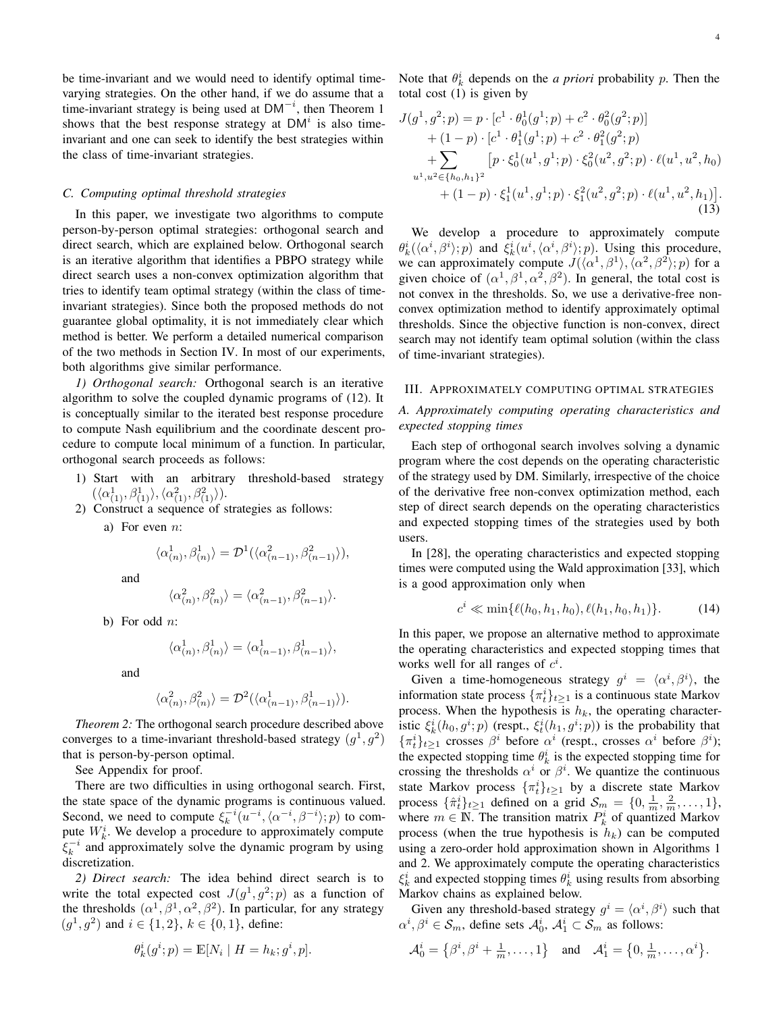be time-invariant and we would need to identify optimal timevarying strategies. On the other hand, if we do assume that a time-invariant strategy is being used at  $DM^{-i}$ , then Theorem 1 shows that the best response strategy at  $DM<sup>i</sup>$  is also timeinvariant and one can seek to identify the best strategies within the class of time-invariant strategies.

#### *C. Computing optimal threshold strategies*

In this paper, we investigate two algorithms to compute person-by-person optimal strategies: orthogonal search and direct search, which are explained below. Orthogonal search is an iterative algorithm that identifies a PBPO strategy while direct search uses a non-convex optimization algorithm that tries to identify team optimal strategy (within the class of timeinvariant strategies). Since both the proposed methods do not guarantee global optimality, it is not immediately clear which method is better. We perform a detailed numerical comparison of the two methods in Section IV. In most of our experiments, both algorithms give similar performance.

*1) Orthogonal search:* Orthogonal search is an iterative algorithm to solve the coupled dynamic programs of (12). It is conceptually similar to the iterated best response procedure to compute Nash equilibrium and the coordinate descent procedure to compute local minimum of a function. In particular, orthogonal search proceeds as follows:

- 1) Start with an arbitrary threshold-based strategy  $(\langle \alpha_{(1)}^1, \beta_{(1)}^1 \rangle, \langle \alpha_{(1)}^2, \beta_{(1)}^2 \rangle).$
- 2) Construct a sequence of strategies as follows:
	- a) For even  $n$ :

$$
\langle \alpha_{(n)}^1, \beta_{(n)}^1 \rangle = \mathcal{D}^1(\langle \alpha_{(n-1)}^2, \beta_{(n-1)}^2 \rangle),
$$

and

$$
\langle \alpha_{(n)}^2, \beta_{(n)}^2 \rangle = \langle \alpha_{(n-1)}^2, \beta_{(n-1)}^2 \rangle.
$$

b) For odd  $n$ :

$$
\langle \alpha_{(n)}^1, \beta_{(n)}^1 \rangle = \langle \alpha_{(n-1)}^1, \beta_{(n-1)}^1 \rangle,
$$

and

$$
\langle \alpha_{(n)}^2, \beta_{(n)}^2 \rangle = \mathcal{D}^2(\langle \alpha_{(n-1)}^1, \beta_{(n-1)}^1 \rangle).
$$

*Theorem 2:* The orthogonal search procedure described above converges to a time-invariant threshold-based strategy  $(g<sup>1</sup>, g<sup>2</sup>)$ that is person-by-person optimal.

See Appendix for proof.

There are two difficulties in using orthogonal search. First, the state space of the dynamic programs is continuous valued. Second, we need to compute  $\xi_k^{-i} (u^{-i}, \langle \alpha^{-i}, \beta^{-i} \rangle; p)$  to compute  $W_k^i$ . We develop a procedure to approximately compute  $\xi_k^{-i}$  and approximately solve the dynamic program by using discretization.

*2) Direct search:* The idea behind direct search is to write the total expected cost  $J(g^1, g^2; p)$  as a function of the thresholds  $(\alpha^1, \beta^1, \alpha^2, \beta^2)$ . In particular, for any strategy  $(g<sup>1</sup>, g<sup>2</sup>)$  and  $i \in \{1, 2\}$ ,  $k \in \{0, 1\}$ , define:

$$
\theta_k^i(g^i; p) = \mathbb{E}[N_i \mid H = h_k; g^i, p].
$$

Note that  $\theta_k^i$  depends on the *a priori* probability *p*. Then the total cost (1) is given by

$$
J(g1, g2; p) = p \cdot [c1 \cdot \theta_0^1(g1; p) + c2 \cdot \theta_0^2(g2; p)] + (1 - p) \cdot [c1 \cdot \theta_1^1(g1; p) + c2 \cdot \theta_1^2(g2; p) + \sum_{u1, u2 \in \{h_0, h_1\}^2} [p \cdot \xi_0^1(u1, g1; p) \cdot \xi_0^2(u2, g2; p) \cdot \ell(u1, u2, h_0) + (1 - p) \cdot \xi_1^1(u1, g1; p) \cdot \xi_1^2(u2, g2; p) \cdot \ell(u1, u2, h_1)].
$$
\n(13)

We develop a procedure to approximately compute  $\theta_k^i(\langle \alpha^i, \beta^i \rangle; p)$  and  $\xi_k^i(u^i, \langle \alpha^i, \beta^i \rangle; p)$ . Using this procedure, we can approximately compute  $J(\langle \alpha^1, \beta^1 \rangle, \langle \alpha^2, \beta^2 \rangle; p)$  for a given choice of  $(\alpha^1, \beta^1, \alpha^2, \beta^2)$ . In general, the total cost is not convex in the thresholds. So, we use a derivative-free nonconvex optimization method to identify approximately optimal thresholds. Since the objective function is non-convex, direct search may not identify team optimal solution (within the class of time-invariant strategies).

#### III. APPROXIMATELY COMPUTING OPTIMAL STRATEGIES

# *A. Approximately computing operating characteristics and expected stopping times*

Each step of orthogonal search involves solving a dynamic program where the cost depends on the operating characteristic of the strategy used by DM. Similarly, irrespective of the choice of the derivative free non-convex optimization method, each step of direct search depends on the operating characteristics and expected stopping times of the strategies used by both users.

In [28], the operating characteristics and expected stopping times were computed using the Wald approximation [33], which is a good approximation only when

$$
c^i \ll \min\{\ell(h_0, h_1, h_0), \ell(h_1, h_0, h_1)\}.
$$
 (14)

In this paper, we propose an alternative method to approximate the operating characteristics and expected stopping times that works well for all ranges of  $c^i$ .

Given a time-homogeneous strategy  $g^i = \langle \alpha^i, \beta^i \rangle$ , the information state process  $\{\pi_t^i\}_{t\geq 1}$  is a continuous state Markov process. When the hypothesis is  $h_k$ , the operating characteristic  $\xi_k^i(h_0, g^i; p)$  (respt.,  $\xi_t^i(h_1, g^i; p)$ ) is the probability that  $\{\pi_t^i\}_{t\geq 1}$  crosses  $\beta^i$  before  $\alpha^i$  (respt., crosses  $\alpha^i$  before  $\beta^i$ ); the expected stopping time  $\theta_k^i$  is the expected stopping time for crossing the thresholds  $\alpha^i$  or  $\beta^i$ . We quantize the continuous state Markov process  $\{\pi_t^i\}_{t\geq 1}$  by a discrete state Markov process  $\{\hat{\pi}_t^i\}_{t\geq 1}$  defined on a grid  $\mathcal{S}_m = \{0, \frac{1}{m}, \frac{2}{m}, \dots, 1\},\$ where  $m \in \mathbb{N}$ . The transition matrix  $P_k^i$  of quantized Markov process (when the true hypothesis is  $h_k$ ) can be computed using a zero-order hold approximation shown in Algorithms 1 and 2. We approximately compute the operating characteristics  $\xi_k^i$  and expected stopping times  $\theta_k^i$  using results from absorbing Markov chains as explained below.

Given any threshold-based strategy  $g^i = \langle \alpha^i, \beta^i \rangle$  such that  $\alpha^i, \beta^i \in \mathcal{S}_m$ , define sets  $\mathcal{A}_0^i$ ,  $\mathcal{A}_1^i \subset \mathcal{S}_m$  as follows:

$$
\mathcal{A}_0^i = \left\{\beta^i, \beta^i + \frac{1}{m}, \dots, 1\right\} \quad \text{and} \quad \mathcal{A}_1^i = \left\{0, \frac{1}{m}, \dots, \alpha^i\right\}.
$$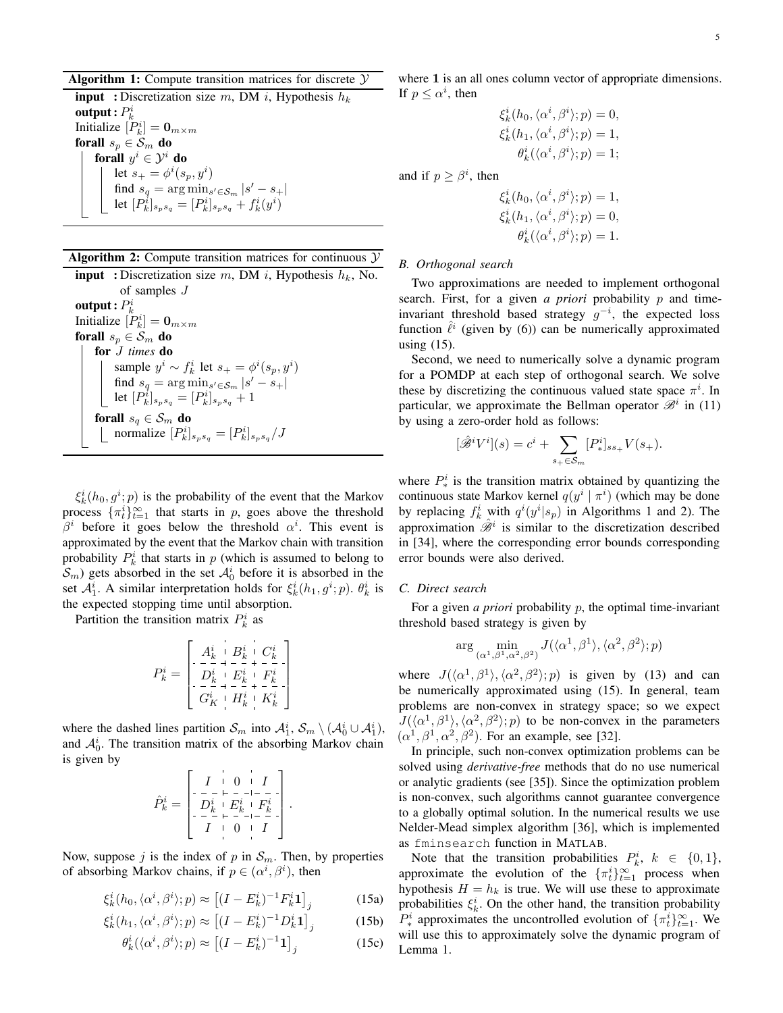# Algorithm 1: Compute transition matrices for discrete  $Y$

**input** : Discretization size m, DM i, Hypothesis  $h_k$ output :  $P_k^i$ Initialize  $[P_k^i] = \mathbf{0}_{m \times m}$ forall  $s_p \in S_m$  do forall  $y^i \in \mathcal{Y}^i$  do let  $s_{+} = \phi^{i}(s_{p}, y^{i})$ find  $s_q = \arg \min_{s' \in \mathcal{S}_m} |s' - s_+|$ let  $[P_k^i]_{s_p s_q} = [P_k^i]_{s_p s_q} + f_k^i(y^i)$ 

| Algorithm 2: Compute transition matrices for continuous $\mathcal Y$ |  |  |  |  |  |  |  |
|----------------------------------------------------------------------|--|--|--|--|--|--|--|
|----------------------------------------------------------------------|--|--|--|--|--|--|--|

**input** : Discretization size m, DM i, Hypothesis  $h_k$ , No. of samples J output :  $P_k^i$ Initialize  $[P_k^i] = \mathbf{0}_{m \times m}$ forall  $s_p \in S_m$  do for J *times* do sample  $y^i \sim f^i_k$  let  $s_+ = \phi^i(s_p, y^i)$ find  $s_q = \arg \min_{s' \in \mathcal{S}_m} |s' - s_+|$ let  $[P_k^i]_{s_p s_q} = [P_k^i]_{s_p s_q} + 1$ forall  $s_q \in S_m$  do normalize  $[P_k^i]_{s_p s_q} = [P_k^i]_{s_p s_q} / J$ 

 $\xi_k^i(h_0, g^i; p)$  is the probability of the event that the Markov process  $\{\pi_t^i\}_{t=1}^\infty$  that starts in p, goes above the threshold  $\beta^i$  before it goes below the threshold  $\alpha^i$ . This event is approximated by the event that the Markov chain with transition probability  $P_k^i$  that starts in p (which is assumed to belong to  $S_m$ ) gets absorbed in the set  $A_0^i$  before it is absorbed in the set  $A_1^i$ . A similar interpretation holds for  $\xi_k^i(h_1, g^i; p)$ .  $\theta_k^i$  is the expected stopping time until absorption.

Partition the transition matrix  $P_k^i$  as

$$
P_k^i = \left[ \begin{array}{c|c} A_k^i & B_k^i & C_k^i \\ -\frac{1}{D_k^i} + \frac{1}{D_k^i} + C_k^i \\ \hline D_k^i & E_k^i & F_k^i \\ \hline G_k^i & H_k^i & K_k^i \end{array} \right]
$$

where the dashed lines partition  $S_m$  into  $\mathcal{A}_1^i$ ,  $S_m \setminus (\mathcal{A}_0^i \cup \mathcal{A}_1^i)$ , and  $A_0^i$ . The transition matrix of the absorbing Markov chain is given by

$$
\hat{P}_k^i = \begin{bmatrix} I & 0 & I \\ -\frac{1}{r} & -\frac{1}{r} & -\frac{1}{r} \\ D_k^i & E_k^i & F_k^i \\ -\frac{1}{r} & 0 & I \end{bmatrix}.
$$

Now, suppose j is the index of p in  $S_m$ . Then, by properties of absorbing Markov chains, if  $p \in (\alpha^i, \beta^i)$ , then

$$
\xi_k^i(h_0, \langle \alpha^i, \beta^i \rangle; p) \approx \left[ (I - E_k^i)^{-1} F_k^i \mathbf{1} \right]_j \tag{15a}
$$

$$
\xi_k^i(h_1, \langle \alpha^i, \beta^i \rangle; p) \approx \left[ (I - E_k^i)^{-1} D_k^i \mathbf{1} \right]_j \tag{15b}
$$

$$
\theta_k^i(\langle \alpha^i, \beta^i \rangle; p) \approx \left[ (I - E_k^i)^{-1} \mathbf{1} \right]_j \tag{15c}
$$

where 1 is an all ones column vector of appropriate dimensions. If  $p \leq \alpha^i$ , then

$$
\xi_k^i(h_0, \langle \alpha^i, \beta^i \rangle; p) = 0,
$$
  
\n
$$
\xi_k^i(h_1, \langle \alpha^i, \beta^i \rangle; p) = 1,
$$
  
\n
$$
\theta_k^i(\langle \alpha^i, \beta^i \rangle; p) = 1;
$$

and if  $p \geq \beta^i$ , then

$$
\xi_k^i(h_0, \langle \alpha^i, \beta^i \rangle; p) = 1,
$$
  
\n
$$
\xi_k^i(h_1, \langle \alpha^i, \beta^i \rangle; p) = 0,
$$
  
\n
$$
\theta_k^i(\langle \alpha^i, \beta^i \rangle; p) = 1.
$$

# *B. Orthogonal search*

Two approximations are needed to implement orthogonal search. First, for a given *a priori* probability p and timeinvariant threshold based strategy  $g^{-i}$ , the expected loss function  $\hat{\ell}^i$  (given by (6)) can be numerically approximated using (15).

Second, we need to numerically solve a dynamic program for a POMDP at each step of orthogonal search. We solve these by discretizing the continuous valued state space  $\pi^i$ . In particular, we approximate the Bellman operator  $\mathcal{B}^i$  in (11) by using a zero-order hold as follows:

$$
[\hat{\mathscr{B}}^i V^i](s) = c^i + \sum_{s_+ \in S_m} [P^i_*]_{ss_+} V(s_+).
$$

where  $P^i_{\ast}$  is the transition matrix obtained by quantizing the continuous state Markov kernel  $q(y^i | \pi^i)$  (which may be done by replacing  $f_k^i$  with  $q^i(y^i|s_p)$  in Algorithms 1 and 2). The approximation  $\hat{\mathscr{B}}^i$  is similar to the discretization described in [34], where the corresponding error bounds corresponding error bounds were also derived.

# *C. Direct search*

For a given *a priori* probability p, the optimal time-invariant threshold based strategy is given by

$$
\arg\min_{(\alpha^1,\beta^1,\alpha^2,\beta^2)} J(\langle \alpha^1,\beta^1 \rangle,\langle \alpha^2,\beta^2 \rangle;p)
$$

where  $J(\langle \alpha^1, \beta^1 \rangle, \langle \alpha^2, \beta^2 \rangle; p)$  is given by (13) and can be numerically approximated using (15). In general, team problems are non-convex in strategy space; so we expect  $J(\langle \alpha^1, \beta^1 \rangle, \langle \alpha^2, \beta^2 \rangle; p)$  to be non-convex in the parameters  $(\alpha^1, \beta^1, \alpha^2, \beta^2)$ . For an example, see [32].

In principle, such non-convex optimization problems can be solved using *derivative-free* methods that do no use numerical or analytic gradients (see [35]). Since the optimization problem is non-convex, such algorithms cannot guarantee convergence to a globally optimal solution. In the numerical results we use Nelder-Mead simplex algorithm [36], which is implemented as fminsearch function in MATLAB.

Note that the transition probabilities  $P_k^i$ ,  $k \in \{0, 1\}$ , approximate the evolution of the  $\{\pi_t^i\}_{t=1}^\infty$  process when hypothesis  $H = h_k$  is true. We will use these to approximate probabilities  $\xi_k^i$ . On the other hand, the transition probability  $P^i_*$  approximates the uncontrolled evolution of  $\{\pi^i_t\}_{t=1}^{\infty}$ . We will use this to approximately solve the dynamic program of Lemma 1.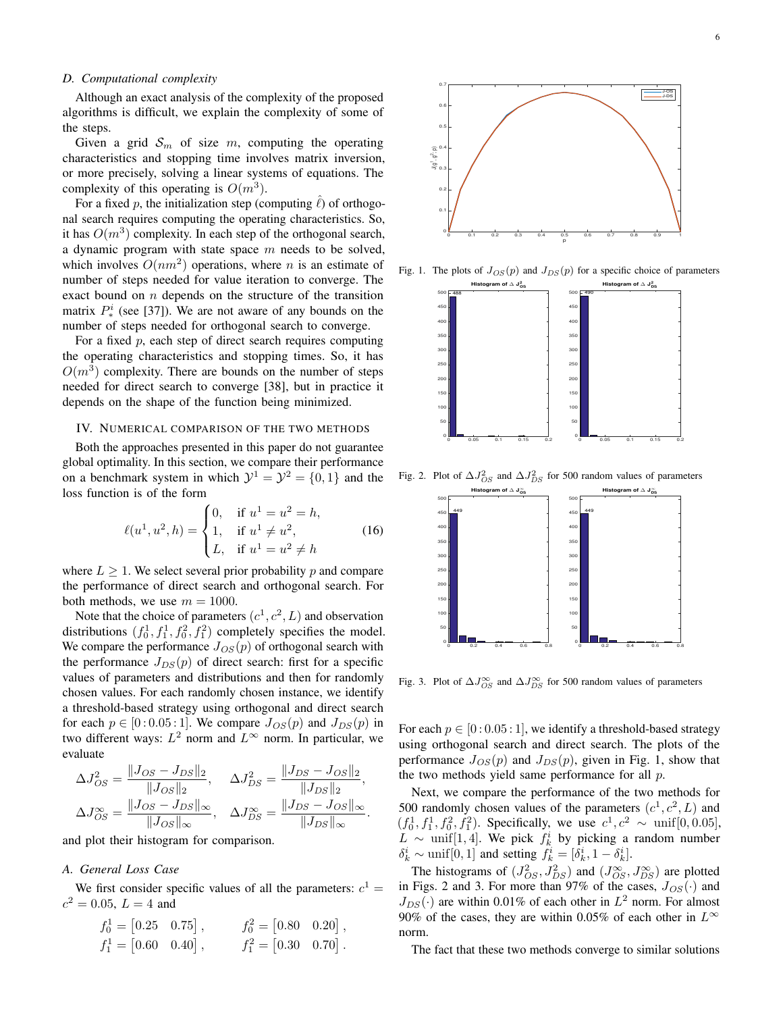# *D. Computational complexity*

Although an exact analysis of the complexity of the proposed algorithms is difficult, we explain the complexity of some of the steps.

Given a grid  $S_m$  of size m, computing the operating characteristics and stopping time involves matrix inversion, or more precisely, solving a linear systems of equations. The complexity of this operating is  $O(m^3)$ .

For a fixed p, the initialization step (computing  $\ell$ ) of orthogonal search requires computing the operating characteristics. So, it has  $O(m^3)$  complexity. In each step of the orthogonal search, a dynamic program with state space  $m$  needs to be solved, which involves  $O(nm^2)$  operations, where n is an estimate of number of steps needed for value iteration to converge. The exact bound on  $n$  depends on the structure of the transition matrix  $P^i_{*}$  (see [37]). We are not aware of any bounds on the number of steps needed for orthogonal search to converge.

For a fixed  $p$ , each step of direct search requires computing the operating characteristics and stopping times. So, it has  $O(m^3)$  complexity. There are bounds on the number of steps needed for direct search to converge [38], but in practice it depends on the shape of the function being minimized.

# IV. NUMERICAL COMPARISON OF THE TWO METHODS

Both the approaches presented in this paper do not guarantee global optimality. In this section, we compare their performance on a benchmark system in which  $\mathcal{Y}^1 = \mathcal{Y}^2 = \{0, 1\}$  and the loss function is of the form

$$
\ell(u^1, u^2, h) = \begin{cases} 0, & \text{if } u^1 = u^2 = h, \\ 1, & \text{if } u^1 \neq u^2, \\ L, & \text{if } u^1 = u^2 \neq h \end{cases}
$$
 (16)

where  $L \geq 1$ . We select several prior probability p and compare the performance of direct search and orthogonal search. For both methods, we use  $m = 1000$ .

Note that the choice of parameters  $(c^1, c^2, L)$  and observation distributions  $(f_0^1, f_1^1, f_0^2, f_1^2)$  completely specifies the model. We compare the performance  $J_{OS}(p)$  of orthogonal search with the performance  $J_{DS}(p)$  of direct search: first for a specific values of parameters and distributions and then for randomly chosen values. For each randomly chosen instance, we identify a threshold-based strategy using orthogonal and direct search for each  $p \in [0:0.05:1]$ . We compare  $J_{OS}(p)$  and  $J_{DS}(p)$  in two different ways:  $L^2$  norm and  $L^{\infty}$  norm. In particular, we evaluate

$$
\Delta J_{OS}^2 = \frac{\|J_{OS} - J_{DS}\|_2}{\|J_{OS}\|_2}, \quad \Delta J_{DS}^2 = \frac{\|J_{DS} - J_{OS}\|_2}{\|J_{DS}\|_2},
$$

$$
\Delta J_{OS}^{\infty} = \frac{\|J_{OS} - J_{DS}\|_{\infty}}{\|J_{OS}\|_{\infty}}, \quad \Delta J_{DS}^{\infty} = \frac{\|J_{DS} - J_{OS}\|_{\infty}}{\|J_{DS}\|_{\infty}}.
$$

and plot their histogram for comparison.

# *A. General Loss Case*

We first consider specific values of all the parameters:  $c^1 =$  $c^2 = 0.05, L = 4$  and

$$
f_0^1 = [0.25 \quad 0.75], \qquad f_0^2 = [0.80 \quad 0.20],
$$
  

$$
f_1^1 = [0.60 \quad 0.40], \qquad f_1^2 = [0.30 \quad 0.70].
$$



Fig. 1. The plots of  $J_{OS}(p)$  and  $J_{DS}(p)$  for a specific choice of parameters



Fig. 2. Plot of  $\Delta J_{OS}^2$  and  $\Delta J_{DS}^2$  for 500 random values of parameters



Fig. 3. Plot of  $\Delta J_{OS}^{\infty}$  and  $\Delta J_{DS}^{\infty}$  for 500 random values of parameters

For each  $p \in [0:0.05:1]$ , we identify a threshold-based strategy using orthogonal search and direct search. The plots of the performance  $J_{OS}(p)$  and  $J_{DS}(p)$ , given in Fig. 1, show that the two methods yield same performance for all  $p$ .

Next, we compare the performance of the two methods for 500 randomly chosen values of the parameters  $(c^1, c^2, L)$  and  $(f_0^1, f_1^1, f_0^2, f_1^2)$ . Specifically, we use  $c^1, c^2 \sim \text{unif}[0, 0.05]$ ,  $L \sim$  unif[1,4]. We pick  $f_k^i$  by picking a random number  $\delta_k^i \sim \text{unif}[0,1]$  and setting  $f_k^i = [\delta_k^i, 1 - \delta_k^i]$ .

The histograms of  $(J_{OS}^2, J_{DS}^2)$  and  $(J_{OS}^{\infty}, J_{DS}^{\infty})$  are plotted in Figs. 2 and 3. For more than 97% of the cases,  $J_{OS}(\cdot)$  and  $J_{DS}(\cdot)$  are within 0.01% of each other in  $L^2$  norm. For almost 90% of the cases, they are within 0.05% of each other in  $L^{\infty}$ norm.

The fact that these two methods converge to similar solutions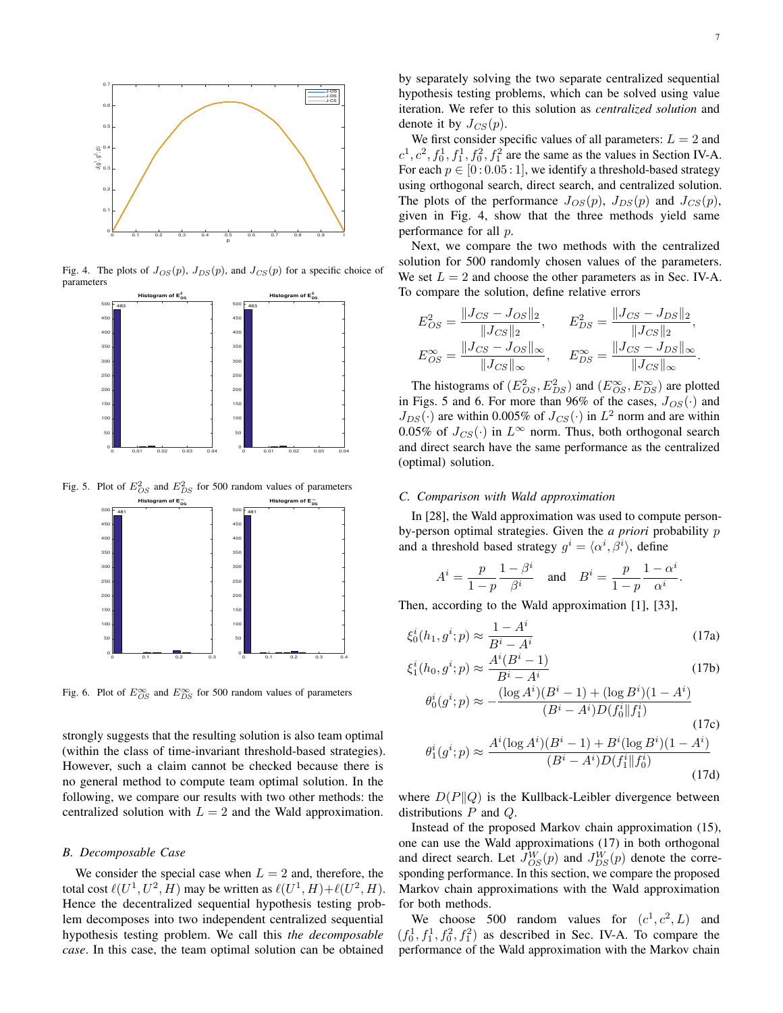

Fig. 4. The plots of  $J_{OS}(p)$ ,  $J_{DS}(p)$ , and  $J_{CS}(p)$  for a specific choice of parameters



Fig. 5. Plot of  $E_{OS}^2$  and  $E_{DS}^2$  for 500 random values of parameters



Fig. 6. Plot of  $E_{OS}^{\infty}$  and  $E_{DS}^{\infty}$  for 500 random values of parameters

strongly suggests that the resulting solution is also team optimal (within the class of time-invariant threshold-based strategies). However, such a claim cannot be checked because there is no general method to compute team optimal solution. In the following, we compare our results with two other methods: the centralized solution with  $L = 2$  and the Wald approximation.

## *B. Decomposable Case*

We consider the special case when  $L = 2$  and, therefore, the total cost  $\ell(U^1, U^2, H)$  may be written as  $\ell(U^1, H) + \ell(U^2, H)$ . Hence the decentralized sequential hypothesis testing problem decomposes into two independent centralized sequential hypothesis testing problem. We call this *the decomposable case*. In this case, the team optimal solution can be obtained

by separately solving the two separate centralized sequential hypothesis testing problems, which can be solved using value iteration. We refer to this solution as *centralized solution* and denote it by  $J_{CS}(p)$ .

We first consider specific values of all parameters:  $L = 2$  and  $c^1$ ,  $c^2$ ,  $f_0^1$ ,  $f_1^1$ ,  $f_0^2$ ,  $f_1^2$  are the same as the values in Section IV-A. For each  $p \in [0:0.05:1]$ , we identify a threshold-based strategy using orthogonal search, direct search, and centralized solution. The plots of the performance  $J_{OS}(p)$ ,  $J_{DS}(p)$  and  $J_{CS}(p)$ , given in Fig. 4, show that the three methods yield same performance for all p.

Next, we compare the two methods with the centralized solution for 500 randomly chosen values of the parameters. We set  $L = 2$  and choose the other parameters as in Sec. IV-A. To compare the solution, define relative errors

$$
E_{OS}^2 = \frac{\|J_{CS} - J_{OS}\|_2}{\|J_{CS}\|_2}, \qquad E_{DS}^2 = \frac{\|J_{CS} - J_{DS}\|_2}{\|J_{CS}\|_2},
$$
  

$$
E_{OS}^{\infty} = \frac{\|J_{CS} - J_{OS}\|_{\infty}}{\|J_{CS}\|_{\infty}}, \qquad E_{DS}^{\infty} = \frac{\|J_{CS} - J_{DS}\|_{\infty}}{\|J_{CS}\|_{\infty}}.
$$

The histograms of  $(E_{OS}^2, E_{DS}^2)$  and  $(E_{OS}^{\infty}, E_{DS}^{\infty})$  are plotted in Figs. 5 and 6. For more than 96% of the cases,  $J_{OS}(\cdot)$  and  $J_{DS}(\cdot)$  are within 0.005% of  $J_{CS}(\cdot)$  in  $L^2$  norm and are within 0.05% of  $J_{CS}(\cdot)$  in  $L^{\infty}$  norm. Thus, both orthogonal search and direct search have the same performance as the centralized (optimal) solution.

#### *C. Comparison with Wald approximation*

In [28], the Wald approximation was used to compute personby-person optimal strategies. Given the *a priori* probability p and a threshold based strategy  $g^i = \langle \alpha^i, \beta^i \rangle$ , define

$$
A^i = \frac{p}{1-p} \frac{1-\beta^i}{\beta^i}
$$
 and 
$$
B^i = \frac{p}{1-p} \frac{1-\alpha^i}{\alpha^i}.
$$

Then, according to the Wald approximation [1], [33],

$$
\xi_0^i(h_1, g^i; p) \approx \frac{1 - A^i}{B^i - A^i}
$$
\n(17a)

$$
\xi_1^i(h_0, g^i; p) \approx \frac{A^i(B^i - 1)}{B^i - A^i}
$$
 (17b)

$$
\theta_0^i(g^i; p) \approx -\frac{(\log A^i)(B^i - 1) + (\log B^i)(1 - A^i)}{(B^i - A^i)D(f_0^i||f_1^i)}
$$
(17c)  

$$
\theta_0^i(i) = A^i(\log A^i)(B^i - 1) + B^i(\log B^i)(1 - A^i)
$$

$$
\theta_1^i(g^i; p) \approx \frac{A^i (\log A^i)(B^i - 1) + B^i (\log B^i)(1 - A^i)}{(B^i - A^i)D(f_1^i \| f_0^i)}
$$
(17d)

where  $D(P||Q)$  is the Kullback-Leibler divergence between distributions P and Q.

Instead of the proposed Markov chain approximation (15), one can use the Wald approximations (17) in both orthogonal and direct search. Let  $J_{OS}^{W}(p)$  and  $J_{DS}^{W}(p)$  denote the corresponding performance. In this section, we compare the proposed Markov chain approximations with the Wald approximation for both methods.

We choose 500 random values for  $(c^1, c^2, L)$  and  $(f_0^1, f_1^1, f_0^2, f_1^2)$  as described in Sec. IV-A. To compare the performance of the Wald approximation with the Markov chain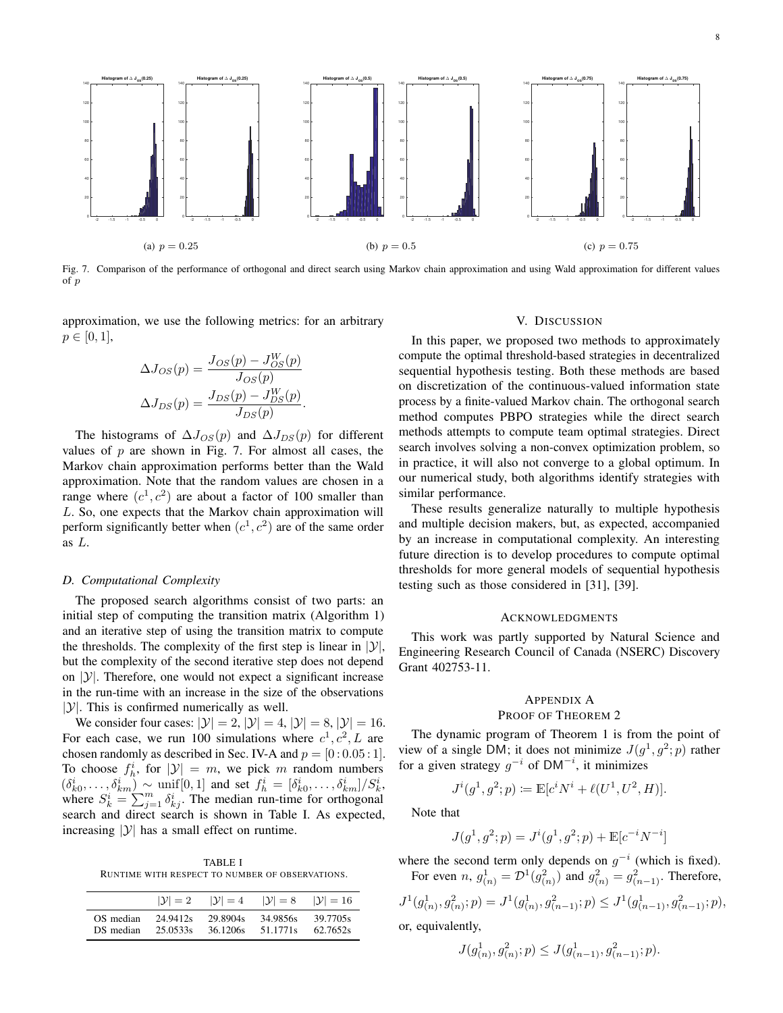

Fig. 7. Comparison of the performance of orthogonal and direct search using Markov chain approximation and using Wald approximation for different values of p

approximation, we use the following metrics: for an arbitrary  $p \in [0, 1],$ 

$$
\Delta J_{OS}(p) = \frac{J_{OS}(p) - J_{OS}^W(p)}{J_{OS}(p)}
$$

$$
\Delta J_{DS}(p) = \frac{J_{DS}(p) - J_{DS}^W(p)}{J_{DS}(p)}.
$$

The histograms of  $\Delta J_{OS}(p)$  and  $\Delta J_{DS}(p)$  for different values of  $p$  are shown in Fig. 7. For almost all cases, the Markov chain approximation performs better than the Wald approximation. Note that the random values are chosen in a range where  $(c<sup>1</sup>, c<sup>2</sup>)$  are about a factor of 100 smaller than L. So, one expects that the Markov chain approximation will perform significantly better when  $(c<sup>1</sup>, c<sup>2</sup>)$  are of the same order as L.

#### *D. Computational Complexity*

The proposed search algorithms consist of two parts: an initial step of computing the transition matrix (Algorithm 1) and an iterative step of using the transition matrix to compute the thresholds. The complexity of the first step is linear in  $|y|$ , but the complexity of the second iterative step does not depend on  $|y|$ . Therefore, one would not expect a significant increase in the run-time with an increase in the size of the observations  $|\mathcal{Y}|$ . This is confirmed numerically as well.

We consider four cases:  $|\mathcal{Y}| = 2$ ,  $|\mathcal{Y}| = 4$ ,  $|\mathcal{Y}| = 8$ ,  $|\mathcal{Y}| = 16$ . For each case, we run 100 simulations where  $c^1, c^2, L$  are chosen randomly as described in Sec. IV-A and  $p = [0:0.05:1]$ . To choose  $f_h^i$ , for  $|\mathcal{Y}| = m$ , we pick m random numbers  $(\delta_{k0}^i, \ldots, \delta_{km}^i) \sim \text{unif}[0,1]$  and set  $f_h^i = [\delta_{k0}^i, \ldots, \delta_{km}^i]/S_k^i$ , where  $S_k^i = \sum_{j=1}^m \delta_{kj}^i$ . The median run-time for orthogonal search and direct search is shown in Table I. As expected, increasing  $|y|$  has a small effect on runtime.

TABLE I RUNTIME WITH RESPECT TO NUMBER OF OBSERVATIONS.

|           | $ \mathcal{Y} =2$ | $ \mathcal{Y} =4$ | $ \mathcal{Y} =8$ | $ \mathcal{Y} =16$ |
|-----------|-------------------|-------------------|-------------------|--------------------|
| OS median | 24.9412s          | 29.8904s          | 34.9856s          | 39.7705s           |
| DS median | 25.0533s          | 36.1206s          | 51.1771s          | 62.7652s           |

## V. DISCUSSION

In this paper, we proposed two methods to approximately compute the optimal threshold-based strategies in decentralized sequential hypothesis testing. Both these methods are based on discretization of the continuous-valued information state process by a finite-valued Markov chain. The orthogonal search method computes PBPO strategies while the direct search methods attempts to compute team optimal strategies. Direct search involves solving a non-convex optimization problem, so in practice, it will also not converge to a global optimum. In our numerical study, both algorithms identify strategies with similar performance.

These results generalize naturally to multiple hypothesis and multiple decision makers, but, as expected, accompanied by an increase in computational complexity. An interesting future direction is to develop procedures to compute optimal thresholds for more general models of sequential hypothesis testing such as those considered in [31], [39].

#### ACKNOWLEDGMENTS

This work was partly supported by Natural Science and Engineering Research Council of Canada (NSERC) Discovery Grant 402753-11.

# APPENDIX A PROOF OF THEOREM 2

The dynamic program of Theorem 1 is from the point of view of a single DM; it does not minimize  $J(g^1, g^2; p)$  rather for a given strategy  $g^{-i}$  of DM<sup>-i</sup>, it minimizes

$$
J^{i}(g^{1}, g^{2}; p) := \mathbb{E}[c^{i}N^{i} + \ell(U^{1}, U^{2}, H)].
$$

Note that

$$
J(g^1, g^2; p) = J^i(g^1, g^2; p) + \mathbb{E}[c^{-i}N^{-i}]
$$

]

where the second term only depends on  $g^{-i}$  (which is fixed). For even *n*,  $g_{(n)}^1 = \mathcal{D}^1(g_{(n)}^2)$  and  $g_{(n)}^2 = g_{(n-1)}^2$ . Therefore,

$$
J^{1}(g_{(n)}^{1}, g_{(n)}^{2}; p) = J^{1}(g_{(n)}^{1}, g_{(n-1)}^{2}; p) \leq J^{1}(g_{(n-1)}^{1}, g_{(n-1)}^{2}; p),
$$

or, equivalently,

$$
J(g^1_{(n)}, g^2_{(n)}; p) \le J(g^1_{(n-1)}, g^2_{(n-1)}; p).
$$